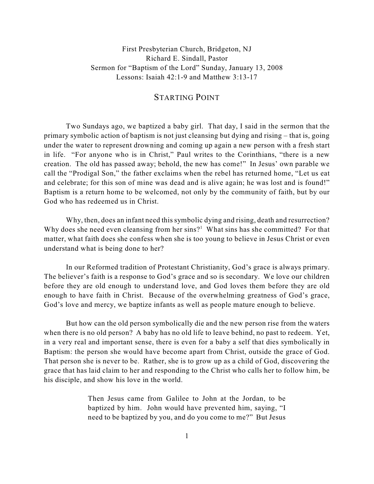First Presbyterian Church, Bridgeton, NJ Richard E. Sindall, Pastor Sermon for "Baptism of the Lord" Sunday, January 13, 2008 Lessons: Isaiah 42:1-9 and Matthew 3:13-17

## STARTING POINT

Two Sundays ago, we baptized a baby girl. That day, I said in the sermon that the primary symbolic action of baptism is not just cleansing but dying and rising – that is, going under the water to represent drowning and coming up again a new person with a fresh start in life. "For anyone who is in Christ," Paul writes to the Corinthians, "there is a new creation. The old has passed away; behold, the new has come!" In Jesus' own parable we call the "Prodigal Son," the father exclaims when the rebel has returned home, "Let us eat and celebrate; for this son of mine was dead and is alive again; he was lost and is found!" Baptism is a return home to be welcomed, not only by the community of faith, but by our God who has redeemed us in Christ.

Why, then, does an infant need this symbolic dying and rising, death and resurrection? Why does she need even cleansing from her sins?<sup>1</sup> What sins has she committed? For that matter, what faith does she confess when she is too young to believe in Jesus Christ or even understand what is being done to her?

In our Reformed tradition of Protestant Christianity, God's grace is always primary. The believer's faith is a response to God's grace and so is secondary. We love our children before they are old enough to understand love, and God loves them before they are old enough to have faith in Christ. Because of the overwhelming greatness of God's grace, God's love and mercy, we baptize infants as well as people mature enough to believe.

But how can the old person symbolically die and the new person rise from the waters when there is no old person? A baby has no old life to leave behind, no past to redeem. Yet, in a very real and important sense, there is even for a baby a self that dies symbolically in Baptism: the person she would have become apart from Christ, outside the grace of God. That person she is never to be. Rather, she is to grow up as a child of God, discovering the grace that has laid claim to her and responding to the Christ who calls her to follow him, be his disciple, and show his love in the world.

> Then Jesus came from Galilee to John at the Jordan, to be baptized by him. John would have prevented him, saying, "I need to be baptized by you, and do you come to me?" But Jesus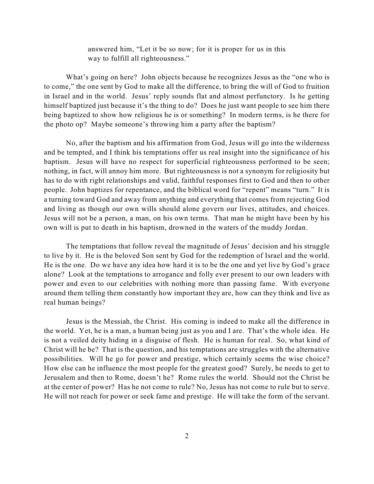answered him, "Let it be so now; for it is proper for us in this way to fulfill all righteousness."

What's going on here? John objects because he recognizes Jesus as the "one who is to come," the one sent by God to make all the difference, to bring the will of God to fruition in Israel and in the world. Jesus' reply sounds flat and almost perfunctory. Is he getting himself baptized just because it's the thing to do? Does he just want people to see him there being baptized to show how religious he is or something? In modern terms, is he there for the photo op? Maybe someone's throwing him a party after the baptism?

No, after the baptism and his affirmation from God, Jesus will go into the wilderness and be tempted, and I think his temptations offer us real insight into the significance of his baptism. Jesus will have no respect for superficial righteousness performed to be seen; nothing, in fact, will annoy him more. But righteousness is not a synonym for religiosity but has to do with right relationships and valid, faithful responses first to God and then to other people. John baptizes for repentance, and the biblical word for "repent" means "turn." It is a turning toward God and away from anything and everything that comes from rejecting God and living as though our own wills should alone govern our lives, attitudes, and choices. Jesus will not be a person, a man, on his own terms. That man he might have been by his own will is put to death in his baptism, drowned in the waters of the muddy Jordan.

The temptations that follow reveal the magnitude of Jesus' decision and his struggle to live by it. He is the beloved Son sent by God for the redemption of Israel and the world. He is the one. Do we have any idea how hard it is to be the one and yet live by God's grace alone? Look at the temptations to arrogance and folly ever present to our own leaders with power and even to our celebrities with nothing more than passing fame. With everyone around them telling them constantly how important they are, how can they think and live as real human beings?

Jesus is the Messiah, the Christ. His coming is indeed to make all the difference in the world. Yet, he is a man, a human being just as you and I are. That's the whole idea. He is not a veiled deity hiding in a disguise of flesh. He is human for real. So, what kind of Christ will he be? That is the question, and his temptations are struggles with the alternative possibilities. Will he go for power and prestige, which certainly seems the wise choice? How else can he influence the most people for the greatest good? Surely, he needs to get to Jerusalem and then to Rome, doesn't he? Rome rules the world. Should not the Christ be at the center of power? Has he not come to rule? No, Jesus has not come to rule but to serve. He will not reach for power or seek fame and prestige. He will take the form of the servant.